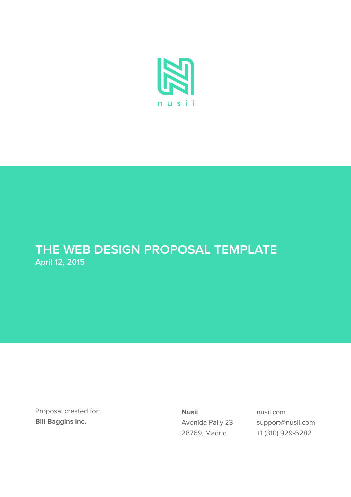

# **April 12, 2015 THE WEB DESIGN PROPOSAL TEMPLATE**

Proposal created for: **Bill Baggins Inc.**

**Nusii** Avenida Pally 23 28769, Madrid

nusii.com support@nusii.com +1 (310) 929-5282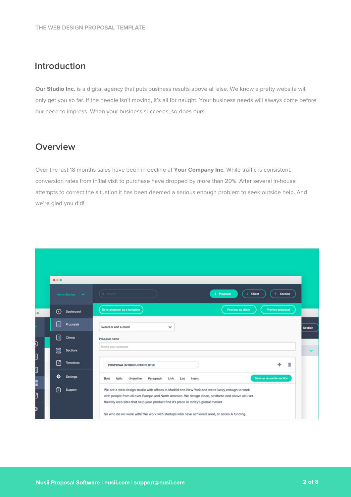#### **Introduction**

**Our Studio Inc.** is a digital agency that puts business results above all else. We know a pretty website will only get you so far. If the needle isn't moving, it's all for naught. Your business needs will always come before our need to impress. When your business succeeds, so does ours.

#### **Overview**

Over the last 18 months sales have been in decline at **Your Company Inc.** While traffic is consistent, conversion rates from initial visit to purchase have dropped by more than 20%. After several in-house attempts to correct the situation it has been deemed a serious enough problem to seek outside help. And we're glad you did!

|        | 0.0.0                    |                                                                                                                                                                                                                                                                                                                                                                                         |         |
|--------|--------------------------|-----------------------------------------------------------------------------------------------------------------------------------------------------------------------------------------------------------------------------------------------------------------------------------------------------------------------------------------------------------------------------------------|---------|
|        | Henry Stanley V          | (Q Search<br>+ Proposal<br><b>Client</b><br>Section<br>÷                                                                                                                                                                                                                                                                                                                                |         |
|        | ⊙<br>Dashboard           | Save proposal as a template<br><b>Preview as client</b><br>Preview proposal                                                                                                                                                                                                                                                                                                             |         |
|        | <b>Proposals</b>         | Select or add a client<br>$\checkmark$                                                                                                                                                                                                                                                                                                                                                  | Section |
|        | Ŕ.<br><b>Clients</b>     | Proposal name                                                                                                                                                                                                                                                                                                                                                                           |         |
| D<br>þ | 昌<br><b>Sections</b>     | Name your proposal                                                                                                                                                                                                                                                                                                                                                                      |         |
| þ      | Ŧ<br><b>Templates</b>    | ÷<br>Ŵ<br>PROPOSAL INTRODUCTION TITLE                                                                                                                                                                                                                                                                                                                                                   |         |
| B      | o<br><b>Settings</b>     | Save as reusable section<br>Bold<br>Italic<br>Underline<br>Paragraph<br>Link<br>List<br>Insert                                                                                                                                                                                                                                                                                          |         |
| Đ<br>þ | $\rightarrow$<br>Support | We are a web design studio with offices in Madrid and New York and we're lucky enough to work<br>with people from all over Europe and North America. We design clean, aesthetic and above all user<br>friendly web sites that help your product find it's place in today's global market.<br>So who do we work with? We work with startups who have achieved seed, or series A funding. |         |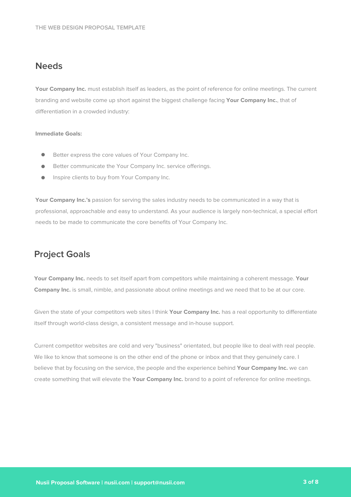#### **Needs**

Your Company Inc. must establish itself as leaders, as the point of reference for online meetings. The current branding and website come up short against the biggest challenge facing **Your Company Inc.**, that of differentiation in a crowded industry:

#### **Immediate Goals:**

- $\bullet$ Better express the core values of Your Company Inc.
- Better communicate the Your Company Inc. service offerings.  $\bullet$
- $\bullet$ Inspire clients to buy from Your Company Inc.

**Your Company Inc.'s** passion for serving the sales industry needs to be communicated in a way that is professional, approachable and easy to understand. As your audience is largely non-technical, a special effort needs to be made to communicate the core benefits of Your Company Inc.

#### **Project Goals**

**Your Company Inc.** needs to set itself apart from competitors while maintaining a coherent message. **Your Company Inc.** is small, nimble, and passionate about online meetings and we need that to be at our core.

Given the state of your competitors web sites I think **Your Company Inc.** has a real opportunity to differentiate itself through world-class design, a consistent message and in-house support.

Current competitor websites are cold and very "business" orientated, but people like to deal with real people. We like to know that someone is on the other end of the phone or inbox and that they genuinely care. I believe that by focusing on the service, the people and the experience behind **Your Company Inc.** we can create something that will elevate the **Your Company Inc.** brand to a point of reference for online meetings.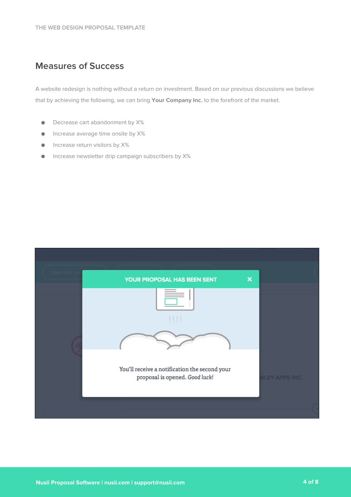### **Measures of Success**

A website redesign is nothing without a return on investment. Based on our previous discussions we believe that by achieving the following, we can bring **Your Company Inc.** to the forefront of the market.

- Decrease cart abandonment by X%  $\bullet$
- Increase average time onsite by X%  $\bullet$
- Increase return visitors by X%  $\bullet$
- Increase newsletter drip campaign subscribers by X% $\bullet$

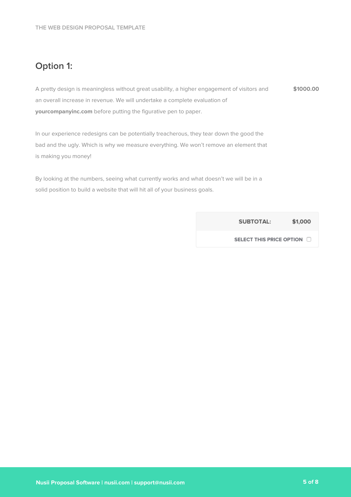# **Option 1:**

A pretty design is meaningless without great usability, a higher engagement of visitors and an overall increase in revenue. We will undertake a complete evaluation of **yourcompanyinc.com** before putting the figurative pen to paper. **\$1000.00**

In our experience redesigns can be potentially treacherous, they tear down the good the bad and the ugly. Which is why we measure everything. We won't remove an element that is making you money!

By looking at the numbers, seeing what currently works and what doesn't we will be in a solid position to build a website that will hit all of your business goals.

> **SUBTOTAL:** \$1,000

SELECT THIS PRICE OPTION O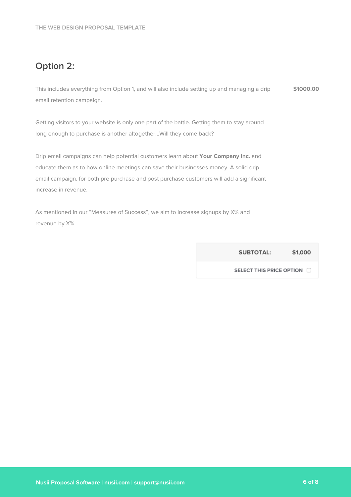# **Option 2:**

This includes everything from Option 1, and will also include setting up and managing a drip email retention campaign. **\$1000.00**

Getting visitors to your website is only one part of the battle. Getting them to stay around long enough to purchase is another altogether...Will they come back?

Drip email campaigns can help potential customers learn about **Your Company Inc.** and educate them as to how online meetings can save their businesses money. A solid drip email campaign, for both pre purchase and post purchase customers will add a significant increase in revenue.

As mentioned in our "Measures of Success", we aim to increase signups by X% and revenue by X%.

> **SUBTOTAL:** \$1,000

SELECT THIS PRICE OPTION O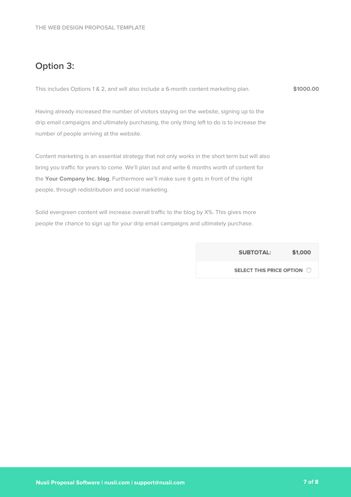## **Option 3:**

| This includes Options 1 & 2, and will also include a 6-month content marketing plan. |  |  | \$1000.00 |
|--------------------------------------------------------------------------------------|--|--|-----------|
|--------------------------------------------------------------------------------------|--|--|-----------|

Having already increased the number of visitors staying on the website, signing up to the drip email campaigns and ultimately purchasing, the only thing left to do is to increase the number of people arriving at the website.

Content marketing is an essential strategy that not only works in the short term but will also bring you traffic for years to come. We'll plan out and write 6 months worth of content for the **Your Company Inc. blog**. Furthermore we'll make sure it gets in front of the right people, through redistribution and social marketing.

Solid evergreen content will increase overall traffic to the blog by X%. This gives more people the chance to sign up for your drip email campaigns and ultimately purchase.

> **SUBTOTAL:** \$1,000

SELECT THIS PRICE OPTION O